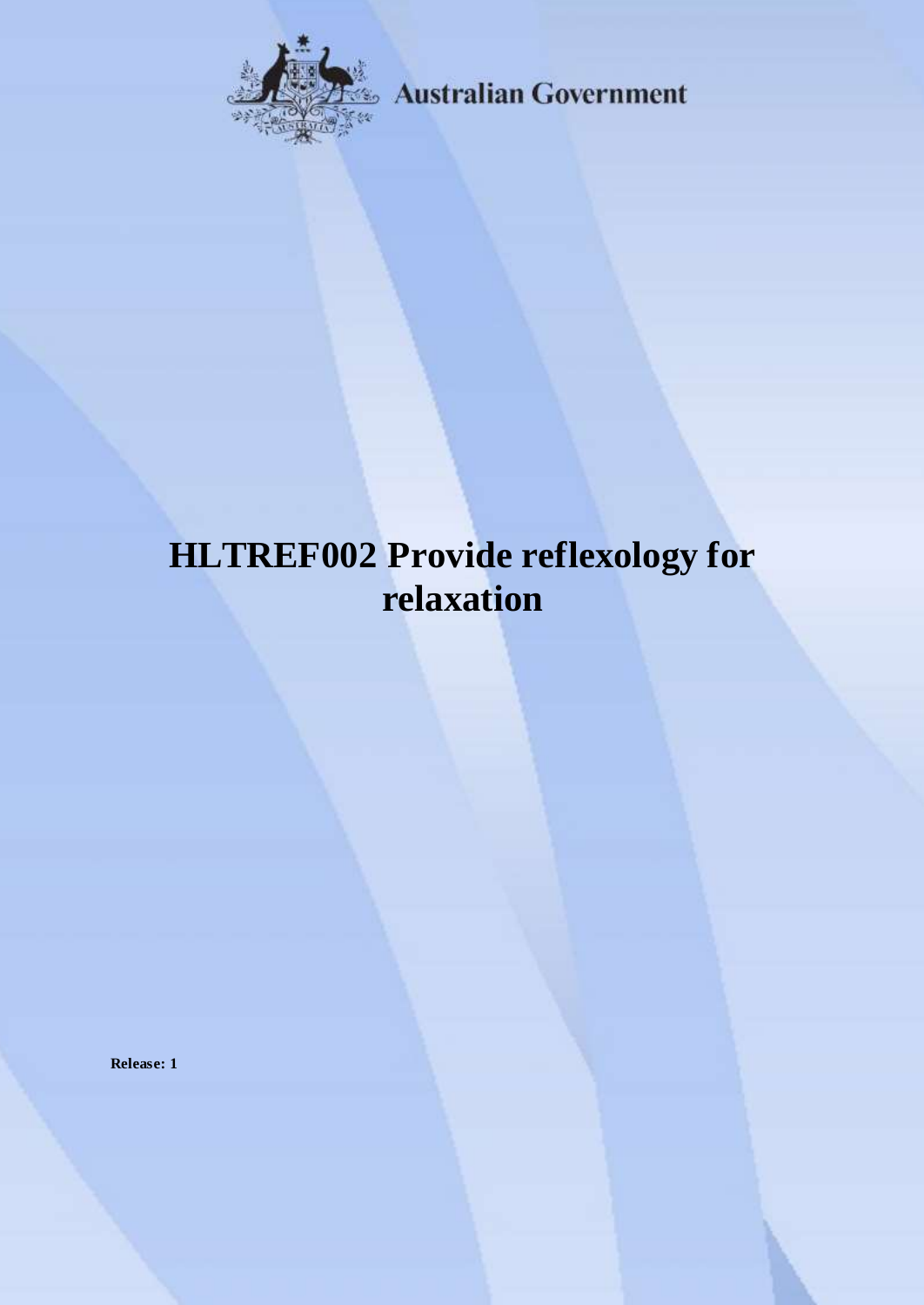

**Australian Government** 

# **HLTREF002 Provide reflexology for relaxation**

**Release: 1**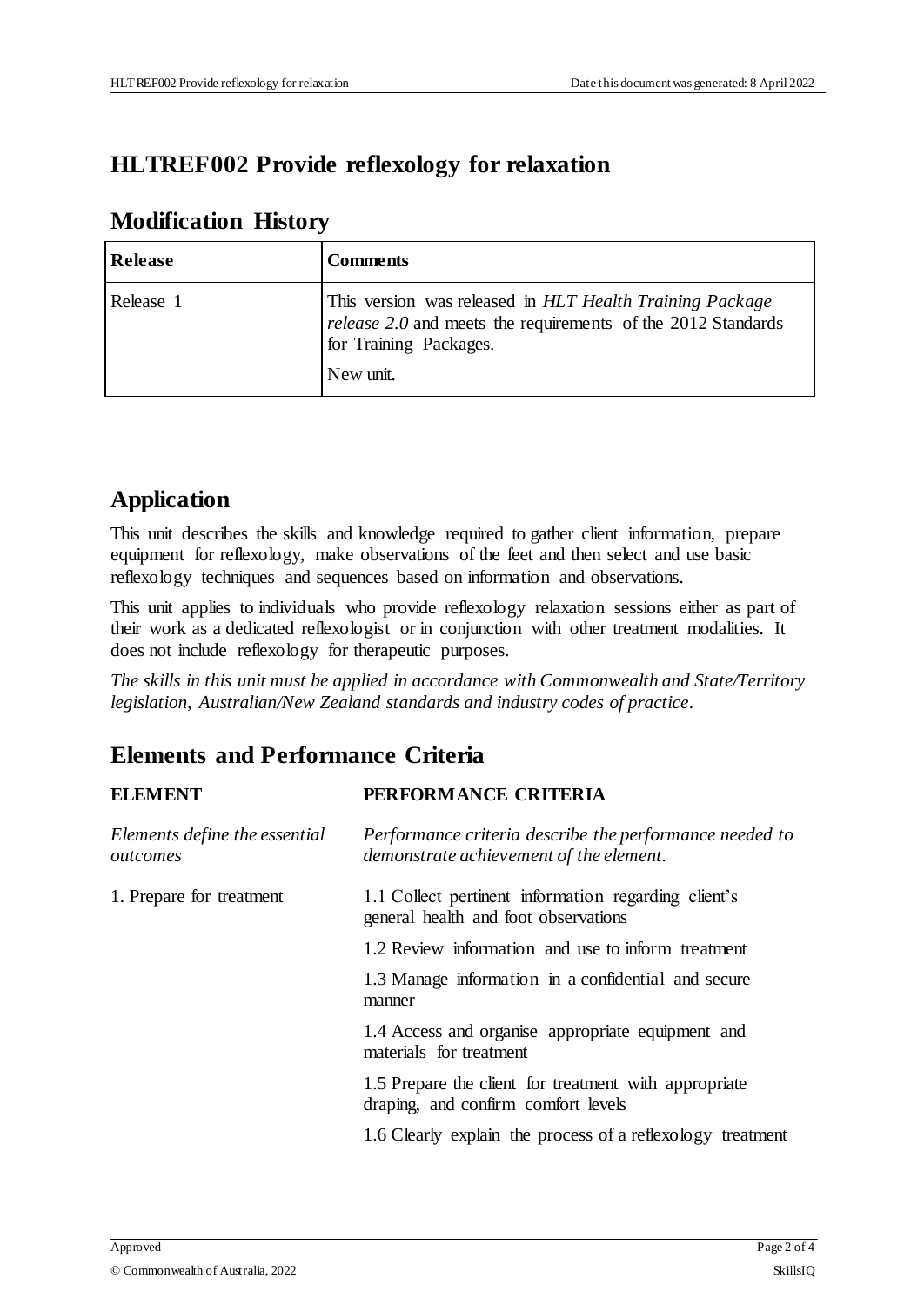## **HLTREF002 Provide reflexology for relaxation**

| <b>Release</b> | Comments                                                                                                                                                        |
|----------------|-----------------------------------------------------------------------------------------------------------------------------------------------------------------|
| Release 1      | This version was released in HLT Health Training Package<br>release 2.0 and meets the requirements of the 2012 Standards<br>for Training Packages.<br>New unit. |

#### **Modification History**

# **Application**

This unit describes the skills and knowledge required to gather client information, prepare equipment for reflexology, make observations of the feet and then select and use basic reflexology techniques and sequences based on information and observations.

This unit applies to individuals who provide reflexology relaxation sessions either as part of their work as a dedicated reflexologist or in conjunction with other treatment modalities. It does not include reflexology for therapeutic purposes.

*The skills in this unit must be applied in accordance with Commonwealth and State/Territory legislation, Australian/New Zealand standards and industry codes of practice.*

# **Elements and Performance Criteria**

| <b>ELEMENT</b>                            | PERFORMANCE CRITERIA                                                                               |
|-------------------------------------------|----------------------------------------------------------------------------------------------------|
| Elements define the essential<br>outcomes | Performance criteria describe the performance needed to<br>demonstrate achievement of the element. |
| 1. Prepare for treatment                  | 1.1 Collect pertinent information regarding client's<br>general health and foot observations       |
|                                           | 1.2 Review information and use to inform treatment                                                 |
|                                           | 1.3 Manage information in a confidential and secure<br>manner                                      |
|                                           | 1.4 Access and organise appropriate equipment and<br>materials for treatment                       |
|                                           | 1.5 Prepare the client for treatment with appropriate<br>draping, and confirm comfort levels       |
|                                           | 1.6 Clearly explain the process of a reflexology treatment                                         |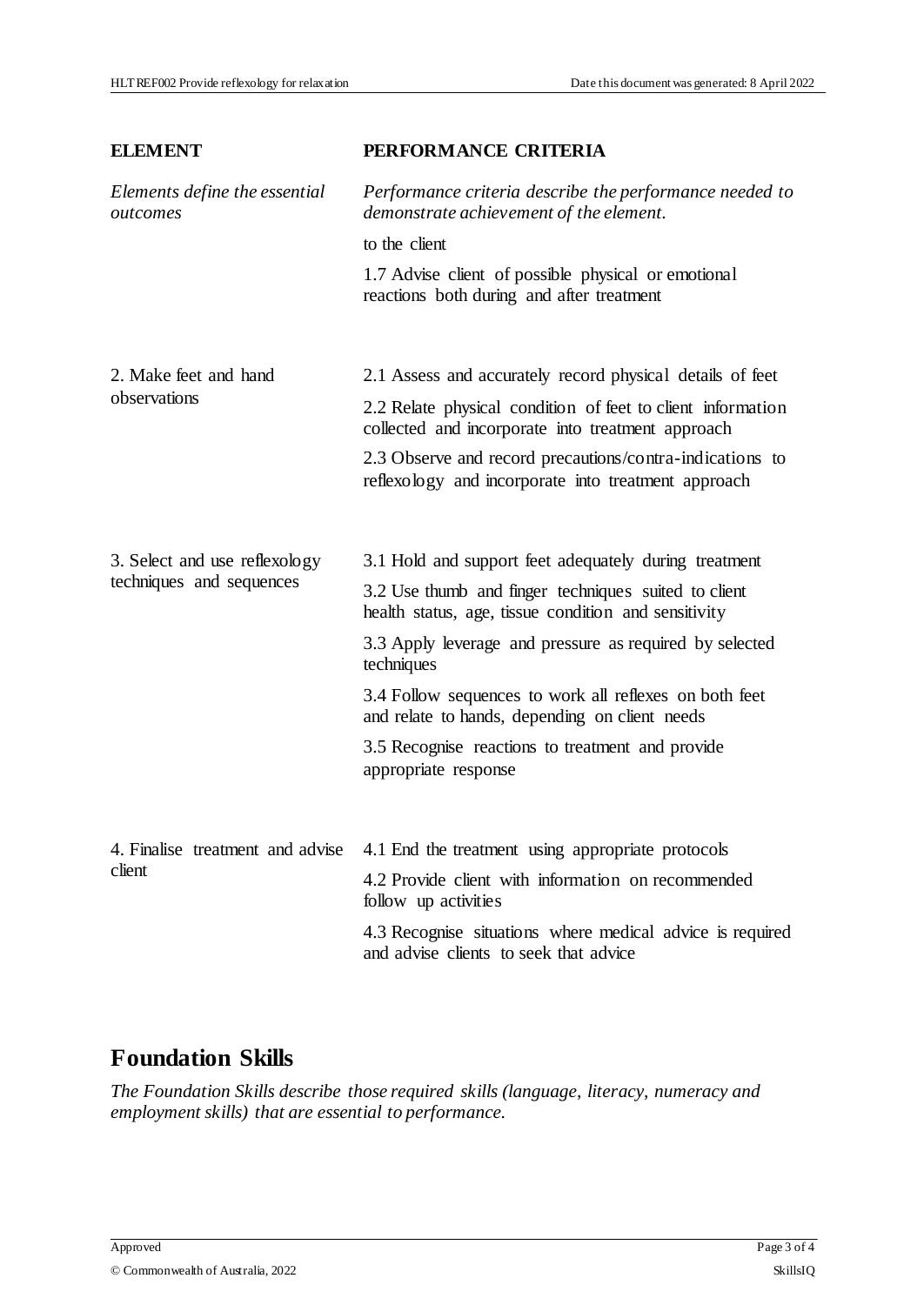| <b>ELEMENT</b>                                            | PERFORMANCE CRITERIA                                                                                             |
|-----------------------------------------------------------|------------------------------------------------------------------------------------------------------------------|
| Elements define the essential<br>outcomes                 | Performance criteria describe the performance needed to<br>demonstrate achievement of the element.               |
|                                                           | to the client                                                                                                    |
|                                                           | 1.7 Advise client of possible physical or emotional<br>reactions both during and after treatment                 |
| 2. Make feet and hand<br>observations                     | 2.1 Assess and accurately record physical details of feet                                                        |
|                                                           | 2.2 Relate physical condition of feet to client information<br>collected and incorporate into treatment approach |
|                                                           | 2.3 Observe and record precautions/contra-indications to<br>reflexology and incorporate into treatment approach  |
|                                                           |                                                                                                                  |
| 3. Select and use reflexology<br>techniques and sequences | 3.1 Hold and support feet adequately during treatment                                                            |
|                                                           | 3.2 Use thumb and finger techniques suited to client<br>health status, age, tissue condition and sensitivity     |
|                                                           | 3.3 Apply leverage and pressure as required by selected<br>techniques                                            |
|                                                           | 3.4 Follow sequences to work all reflexes on both feet<br>and relate to hands, depending on client needs         |
|                                                           | 3.5 Recognise reactions to treatment and provide<br>appropriate response                                         |
|                                                           |                                                                                                                  |
| 4. Finalise treatment and advise<br>client                | 4.1 End the treatment using appropriate protocols                                                                |
|                                                           | 4.2 Provide client with information on recommended<br>follow up activities                                       |
|                                                           | 4.3 Recognise situations where medical advice is required<br>and advise clients to seek that advice              |

#### **Foundation Skills**

*The Foundation Skills describe those required skills (language, literacy, numeracy and employment skills) that are essential to performance.*